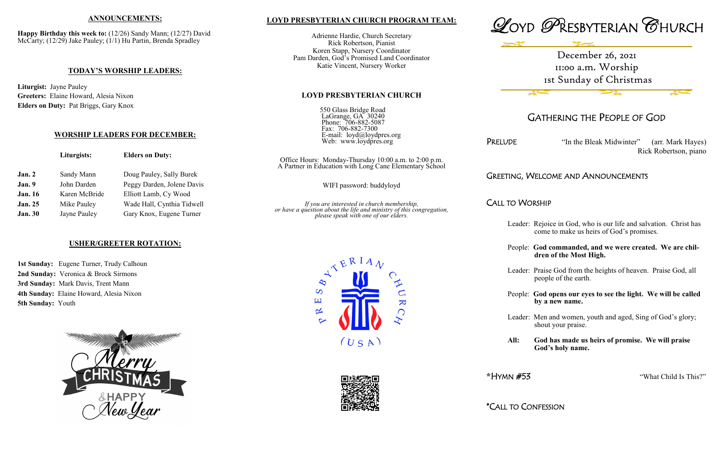#### **LOYD PRESBYTERIAN CHURCH PROGRAM TEAM:**

Adrienne Hardie, Church Secretary Rick Robertson, Pianist Koren Stapp, Nursery Coordinator Pam Darden, God's Promised Land Coordinator Katie Vincent, Nursery Worker

#### **LOYD PRESBYTERIAN CHURCH**

550 Glass Bridge Road LaGrange, GA 30240 Phone: 706-882-5087 Fax: 706-882-7300 E-mail: loyd@loydpres.org Web: www.loydpres.org

PRELUDE "In the Bleak Midwinter" (arr. Mark Hayes) Rick Robertson, piano

Office Hours: Monday-Thursday 10:00 a.m. to 2:00 p.m. A Partner in Education with Long Cane Elementary School

*or have a question about the life and ministry of this congregation,*



# GATHERING THE PEOPLE OF GOD

## GREETING, WELCOME AND ANNOUNCEMENTS

CALL TO WORSHIP

- Leader: Rejoice in God, who is our life and salvation. Christ has come to make us heirs of God's promises.
- People: **God commanded, and we were created. We are chil dren of the Most High.**
- Leader: Praise God from the heights of heaven. Praise God, all people of the earth.
- People: **God opens our eyes to see the light. We will be called by a new name.**
- Leader: Men and women, youth and aged, Sing of God's glory; shout your praise.
- **All: God has made us heirs of promise. We will praise God's holy name.**

|                | Liturgists:   | <b>Elders on Duty:</b>     | Office Hours: Monday-Thursday 10:00 a.m. to 2:00<br>A Partner in Education with Long Cane Elementary S                                               |  |
|----------------|---------------|----------------------------|------------------------------------------------------------------------------------------------------------------------------------------------------|--|
| Jan.2          | Sandy Mann    | Doug Pauley, Sally Burek   |                                                                                                                                                      |  |
| Jan.9          | John Darden   | Peggy Darden, Jolene Davis | WIFI password: buddyloyd                                                                                                                             |  |
| <b>Jan.</b> 16 | Karen McBride | Elliott Lamb, Cy Wood      |                                                                                                                                                      |  |
| <b>Jan. 25</b> | Mike Pauley   | Wade Hall, Cynthia Tidwell |                                                                                                                                                      |  |
| <b>Jan. 30</b> | Jayne Pauley  | Gary Knox, Eugene Turner   | If you are interested in church membership,<br>or have a question about the life and ministry of this congre<br>please speak with one of our elders. |  |

**\***HYMN #53 "What Child Is This?"

\*CALL TO CONFESSION





#### **ANNOUNCEMENTS:**

**Happy Birthday this week to:** (12/26) Sandy Mann; (12/27) David McCarty; (12/29) Jake Pauley; (1/1) Hu Partin, Brenda Spradley

#### **TODAY'S WORSHIP LEADERS:**

**Liturgist:** Jayne Pauley **Greeters:** Elaine Howard, Alesia Nixon **Elders on Duty:** Pat Briggs, Gary Knox

#### **WORSHIP LEADERS FOR DECEMBER:**

#### **USHER/GREETER ROTATION:**

**1st Sunday:** Eugene Turner, Trudy Calhoun **2nd Sunday:** Veronica & Brock Sirmons **3rd Sunday:** Mark Davis, Trent Mann **4th Sunday:** Elaine Howard, Alesia Nixon **5th Sunday:** Youth



December 26, 2021 11:00 a.m. Worship 1st Sunday of Christmas